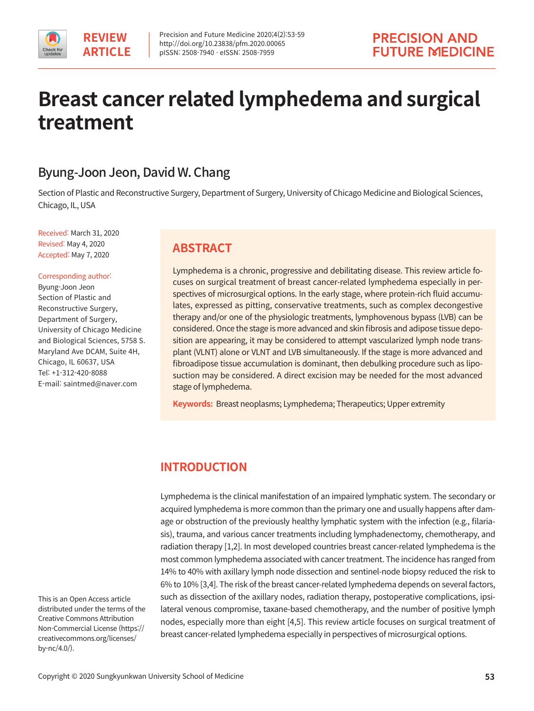# **Breast cancer related lymphedema and surgical treatment**

# Byung-Joon Jeon, David W. Chang

Section of Plastic and Reconstructive Surgery, Department of Surgery, University of Chicago Medicine and Biological Sciences, Chicago, IL, USA

Received: March 31, 2020 Revised: May 4, 2020 Accepted: May 7, 2020

#### Corresponding author:

Byung-Joon Jeon Section of Plastic and Reconstructive Surgery, Department of Surgery, University of Chicago Medicine and Biological Sciences, 5758 S. Maryland Ave DCAM, Suite 4H, Chicago, IL 60637, USA Tel: +1-312-420-8088 E-mail: saintmed@naver.com

# **ABSTRACT**

Lymphedema is a chronic, progressive and debilitating disease. This review article focuses on surgical treatment of breast cancer-related lymphedema especially in perspectives of microsurgical options. In the early stage, where protein-rich fluid accumulates, expressed as pitting, conservative treatments, such as complex decongestive therapy and/or one of the physiologic treatments, lymphovenous bypass (LVB) can be considered. Once the stage is more advanced and skin fibrosis and adipose tissue deposition are appearing, it may be considered to attempt vascularized lymph node transplant (VLNT) alone or VLNT and LVB simultaneously. If the stage is more advanced and fibroadipose tissue accumulation is dominant, then debulking procedure such as liposuction may be considered. A direct excision may be needed for the most advanced stage of lymphedema.

**Keywords:** Breast neoplasms; Lymphedema; Therapeutics; Upper extremity

# **INTRODUCTION**

Lymphedema is the clinical manifestation of an impaired lymphatic system. The secondary or acquired lymphedema is more common than the primary one and usually happens after damage or obstruction of the previously healthy lymphatic system with the infection (e.g., filariasis), trauma, and various cancer treatments including lymphadenectomy, chemotherapy, and radiation therapy [1,2]. In most developed countries breast cancer-related lymphedema is the most common lymphedema associated with cancer treatment. The incidence has ranged from 14% to 40% with axillary lymph node dissection and sentinel-node biopsy reduced the risk to 6% to 10% [3,4]. The risk of the breast cancer-related lymphedema depends on several factors, such as dissection of the axillary nodes, radiation therapy, postoperative complications, ipsilateral venous compromise, taxane-based chemotherapy, and the number of positive lymph nodes, especially more than eight [4,5]. This review article focuses on surgical treatment of breast cancer-related lymphedema especially in perspectives of microsurgical options.

This is an Open Access article distributed under the terms of the Creative Commons Attribution Non-Commercial License (https:// creativecommons.org/licenses/ by-nc/4.0/).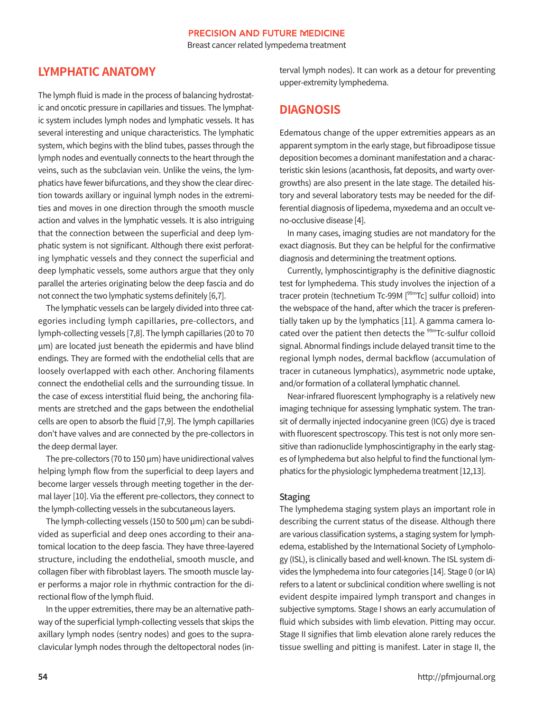Breast cancer related lympedema treatment

# **LYMPHATIC ANATOMY**

The lymph fluid is made in the process of balancing hydrostatic and oncotic pressure in capillaries and tissues. The lymphatic system includes lymph nodes and lymphatic vessels. It has several interesting and unique characteristics. The lymphatic system, which begins with the blind tubes, passes through the lymph nodes and eventually connects to the heart through the veins, such as the subclavian vein. Unlike the veins, the lymphatics have fewer bifurcations, and they show the clear direction towards axillary or inguinal lymph nodes in the extremities and moves in one direction through the smooth muscle action and valves in the lymphatic vessels. It is also intriguing that the connection between the superficial and deep lymphatic system is not significant. Although there exist perforating lymphatic vessels and they connect the superficial and deep lymphatic vessels, some authors argue that they only parallel the arteries originating below the deep fascia and do not connect the two lymphatic systems definitely [6,7].

 The lymphatic vessels can be largely divided into three categories including lymph capillaries, pre-collectors, and lymph-collecting vessels [7,8]. The lymph capillaries (20 to 70 μm) are located just beneath the epidermis and have blind endings. They are formed with the endothelial cells that are loosely overlapped with each other. Anchoring filaments connect the endothelial cells and the surrounding tissue. In the case of excess interstitial fluid being, the anchoring filaments are stretched and the gaps between the endothelial cells are open to absorb the fluid [7,9]. The lymph capillaries don't have valves and are connected by the pre-collectors in the deep dermal layer.

The pre-collectors (70 to 150 μm) have unidirectional valves helping lymph flow from the superficial to deep layers and become larger vessels through meeting together in the dermal layer [10]. Via the efferent pre-collectors, they connect to the lymph-collecting vessels in the subcutaneous layers.

 The lymph-collecting vessels (150 to 500 μm) can be subdivided as superficial and deep ones according to their anatomical location to the deep fascia. They have three-layered structure, including the endothelial, smooth muscle, and collagen fiber with fibroblast layers. The smooth muscle layer performs a major role in rhythmic contraction for the directional flow of the lymph fluid.

 In the upper extremities, there may be an alternative pathway of the superficial lymph-collecting vessels that skips the axillary lymph nodes (sentry nodes) and goes to the supraclavicular lymph nodes through the deltopectoral nodes (interval lymph nodes). It can work as a detour for preventing upper-extremity lymphedema.

# **DIAGNOSIS**

Edematous change of the upper extremities appears as an apparent symptom in the early stage, but fibroadipose tissue deposition becomes a dominant manifestation and a characteristic skin lesions (acanthosis, fat deposits, and warty overgrowths) are also present in the late stage. The detailed history and several laboratory tests may be needed for the differential diagnosis of lipedema, myxedema and an occult veno-occlusive disease [4].

 In many cases, imaging studies are not mandatory for the exact diagnosis. But they can be helpful for the confirmative diagnosis and determining the treatment options.

 Currently, lymphoscintigraphy is the definitive diagnostic test for lymphedema. This study involves the injection of a tracer protein (technetium Tc-99M [<sup>99m</sup>Tc] sulfur colloid) into the webspace of the hand, after which the tracer is preferentially taken up by the lymphatics [11]. A gamma camera located over the patient then detects the <sup>99m</sup>Tc-sulfur colloid signal. Abnormal findings include delayed transit time to the regional lymph nodes, dermal backflow (accumulation of tracer in cutaneous lymphatics), asymmetric node uptake, and/or formation of a collateral lymphatic channel.

Near-infrared fluorescent lymphography is a relatively new imaging technique for assessing lymphatic system. The transit of dermally injected indocyanine green (ICG) dye is traced with fluorescent spectroscopy. This test is not only more sensitive than radionuclide lymphoscintigraphy in the early stages of lymphedema but also helpful to find the functional lymphatics for the physiologic lymphedema treatment [12,13].

#### Staging

The lymphedema staging system plays an important role in describing the current status of the disease. Although there are various classification systems, a staging system for lymphedema, established by the International Society of Lymphology (ISL), is clinically based and well-known. The ISL system divides the lymphedema into four categories [14]. Stage 0 (or IA) refers to a latent or subclinical condition where swelling is not evident despite impaired lymph transport and changes in subjective symptoms. Stage I shows an early accumulation of fluid which subsides with limb elevation. Pitting may occur. Stage II signifies that limb elevation alone rarely reduces the tissue swelling and pitting is manifest. Later in stage II, the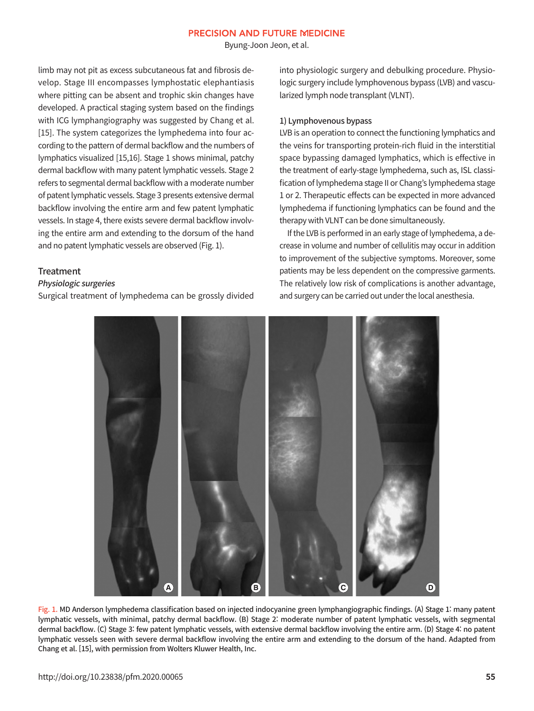Byung-Joon Jeon, et al.

limb may not pit as excess subcutaneous fat and fibrosis develop. Stage III encompasses lymphostatic elephantiasis where pitting can be absent and trophic skin changes have developed. A practical staging system based on the findings with ICG lymphangiography was suggested by Chang et al. [15]. The system categorizes the lymphedema into four according to the pattern of dermal backflow and the numbers of lymphatics visualized [15,16]. Stage 1 shows minimal, patchy dermal backflow with many patent lymphatic vessels. Stage 2 refers to segmental dermal backflow with a moderate number of patent lymphatic vessels. Stage 3 presents extensive dermal backflow involving the entire arm and few patent lymphatic vessels. In stage 4, there exists severe dermal backflow involving the entire arm and extending to the dorsum of the hand and no patent lymphatic vessels are observed (Fig. 1).

#### **Treatment**

#### Physiologic surgeries

Surgical treatment of lymphedema can be grossly divided

into physiologic surgery and debulking procedure. Physiologic surgery include lymphovenous bypass (LVB) and vascularized lymph node transplant (VLNT).

#### 1) Lymphovenous bypass

LVB is an operation to connect the functioning lymphatics and the veins for transporting protein-rich fluid in the interstitial space bypassing damaged lymphatics, which is effective in the treatment of early-stage lymphedema, such as, ISL classification of lymphedema stage II or Chang's lymphedema stage 1 or 2. Therapeutic effects can be expected in more advanced lymphedema if functioning lymphatics can be found and the therapy with VLNT can be done simultaneously.

If the LVB is performed in an early stage of lymphedema, a decrease in volume and number of cellulitis may occur in addition to improvement of the subjective symptoms. Moreover, some patients may be less dependent on the compressive garments. The relatively low risk of complications is another advantage, and surgery can be carried out under the local anesthesia.



Fig. 1. MD Anderson lymphedema classification based on injected indocyanine green lymphangiographic findings. (A) Stage 1: many patent lymphatic vessels, with minimal, patchy dermal backflow. (B) Stage 2: moderate number of patent lymphatic vessels, with segmental dermal backflow. (C) Stage 3: few patent lymphatic vessels, with extensive dermal backflow involving the entire arm. (D) Stage 4: no patent lymphatic vessels seen with severe dermal backflow involving the entire arm and extending to the dorsum of the hand. Adapted from Chang et al. [15], with permission from Wolters Kluwer Health, Inc.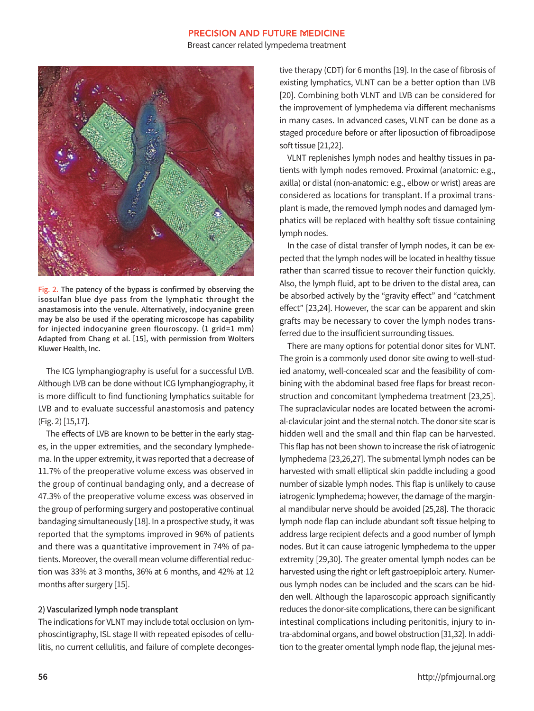Breast cancer related lympedema treatment



Fig. 2. The patency of the bypass is confirmed by observing the isosulfan blue dye pass from the lymphatic throught the anastamosis into the venule. Alternatively, indocyanine green may be also be used if the operating microscope has capability for injected indocyanine green flouroscopy. (1 grid=1 mm) Adapted from Chang et al. [15], with permission from Wolters Kluwer Health, Inc.

 The ICG lymphangiography is useful for a successful LVB. Although LVB can be done without ICG lymphangiography, it is more difficult to find functioning lymphatics suitable for LVB and to evaluate successful anastomosis and patency (Fig. 2) [15,17].

 The effects of LVB are known to be better in the early stages, in the upper extremities, and the secondary lymphedema. In the upper extremity, it was reported that a decrease of 11.7% of the preoperative volume excess was observed in the group of continual bandaging only, and a decrease of 47.3% of the preoperative volume excess was observed in the group of performing surgery and postoperative continual bandaging simultaneously [18]. In a prospective study, it was reported that the symptoms improved in 96% of patients and there was a quantitative improvement in 74% of patients. Moreover, the overall mean volume differential reduction was 33% at 3 months, 36% at 6 months, and 42% at 12 months after surgery [15].

#### 2) Vascularized lymph node transplant

The indications for VLNT may include total occlusion on lymphoscintigraphy, ISL stage II with repeated episodes of cellulitis, no current cellulitis, and failure of complete decongestive therapy (CDT) for 6 months [19]. In the case of fibrosis of existing lymphatics, VLNT can be a better option than LVB [20]. Combining both VLNT and LVB can be considered for the improvement of lymphedema via different mechanisms in many cases. In advanced cases, VLNT can be done as a staged procedure before or after liposuction of fibroadipose soft tissue [21,22].

 VLNT replenishes lymph nodes and healthy tissues in patients with lymph nodes removed. Proximal (anatomic: e.g., axilla) or distal (non-anatomic: e.g., elbow or wrist) areas are considered as locations for transplant. If a proximal transplant is made, the removed lymph nodes and damaged lymphatics will be replaced with healthy soft tissue containing lymph nodes.

 In the case of distal transfer of lymph nodes, it can be expected that the lymph nodes will be located in healthy tissue rather than scarred tissue to recover their function quickly. Also, the lymph fluid, apt to be driven to the distal area, can be absorbed actively by the "gravity effect" and "catchment effect" [23,24]. However, the scar can be apparent and skin grafts may be necessary to cover the lymph nodes transferred due to the insufficient surrounding tissues.

There are many options for potential donor sites for VLNT. The groin is a commonly used donor site owing to well-studied anatomy, well-concealed scar and the feasibility of combining with the abdominal based free flaps for breast reconstruction and concomitant lymphedema treatment [23,25]. The supraclavicular nodes are located between the acromial-clavicular joint and the sternal notch. The donor site scar is hidden well and the small and thin flap can be harvested. This flap has not been shown to increase the risk of iatrogenic lymphedema [23,26,27]. The submental lymph nodes can be harvested with small elliptical skin paddle including a good number of sizable lymph nodes. This flap is unlikely to cause iatrogenic lymphedema; however, the damage of the marginal mandibular nerve should be avoided [25,28]. The thoracic lymph node flap can include abundant soft tissue helping to address large recipient defects and a good number of lymph nodes. But it can cause iatrogenic lymphedema to the upper extremity [29,30]. The greater omental lymph nodes can be harvested using the right or left gastroepiploic artery. Numerous lymph nodes can be included and the scars can be hidden well. Although the laparoscopic approach significantly reduces the donor-site complications, there can be significant intestinal complications including peritonitis, injury to intra-abdominal organs, and bowel obstruction [31,32]. In addition to the greater omental lymph node flap, the jejunal mes-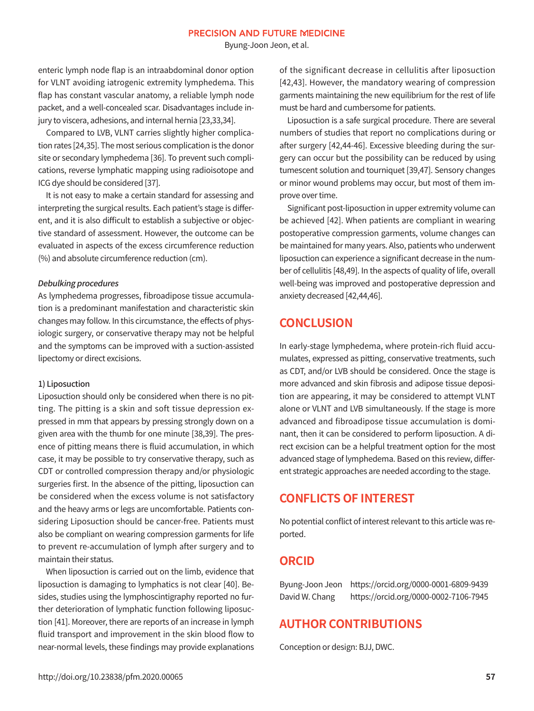Byung-Joon Jeon, et al.

enteric lymph node flap is an intraabdominal donor option for VLNT avoiding iatrogenic extremity lymphedema. This flap has constant vascular anatomy, a reliable lymph node packet, and a well-concealed scar. Disadvantages include injury to viscera, adhesions, and internal hernia [23,33,34].

 Compared to LVB, VLNT carries slightly higher complication rates [24,35]. The most serious complication is the donor site or secondary lymphedema [36]. To prevent such complications, reverse lymphatic mapping using radioisotope and ICG dye should be considered [37].

 It is not easy to make a certain standard for assessing and interpreting the surgical results. Each patient's stage is different, and it is also difficult to establish a subjective or objective standard of assessment. However, the outcome can be evaluated in aspects of the excess circumference reduction (%) and absolute circumference reduction (cm).

#### Debulking procedures

As lymphedema progresses, fibroadipose tissue accumulation is a predominant manifestation and characteristic skin changes may follow. In this circumstance, the effects of physiologic surgery, or conservative therapy may not be helpful and the symptoms can be improved with a suction-assisted lipectomy or direct excisions.

#### 1) Liposuction

Liposuction should only be considered when there is no pitting. The pitting is a skin and soft tissue depression expressed in mm that appears by pressing strongly down on a given area with the thumb for one minute [38,39]. The presence of pitting means there is fluid accumulation, in which case, it may be possible to try conservative therapy, such as CDT or controlled compression therapy and/or physiologic surgeries first. In the absence of the pitting, liposuction can be considered when the excess volume is not satisfactory and the heavy arms or legs are uncomfortable. Patients considering Liposuction should be cancer-free. Patients must also be compliant on wearing compression garments for life to prevent re-accumulation of lymph after surgery and to maintain their status.

 When liposuction is carried out on the limb, evidence that liposuction is damaging to lymphatics is not clear [40]. Besides, studies using the lymphoscintigraphy reported no further deterioration of lymphatic function following liposuction [41]. Moreover, there are reports of an increase in lymph fluid transport and improvement in the skin blood flow to near-normal levels, these findings may provide explanations of the significant decrease in cellulitis after liposuction [42,43]. However, the mandatory wearing of compression garments maintaining the new equilibrium for the rest of life must be hard and cumbersome for patients.

 Liposuction is a safe surgical procedure. There are several numbers of studies that report no complications during or after surgery [42,44-46]. Excessive bleeding during the surgery can occur but the possibility can be reduced by using tumescent solution and tourniquet [39,47]. Sensory changes or minor wound problems may occur, but most of them improve over time.

 Significant post-liposuction in upper extremity volume can be achieved [42]. When patients are compliant in wearing postoperative compression garments, volume changes can be maintained for many years. Also, patients who underwent liposuction can experience a significant decrease in the number of cellulitis [48,49]. In the aspects of quality of life, overall well-being was improved and postoperative depression and anxiety decreased [42,44,46].

# **CONCLUSION**

In early-stage lymphedema, where protein-rich fluid accumulates, expressed as pitting, conservative treatments, such as CDT, and/or LVB should be considered. Once the stage is more advanced and skin fibrosis and adipose tissue deposition are appearing, it may be considered to attempt VLNT alone or VLNT and LVB simultaneously. If the stage is more advanced and fibroadipose tissue accumulation is dominant, then it can be considered to perform liposuction. A direct excision can be a helpful treatment option for the most advanced stage of lymphedema. Based on this review, different strategic approaches are needed according to the stage.

### **CONFLICTS OF INTEREST**

No potential conflict of interest relevant to this article was reported.

### **ORCID**

Byung-Joon Jeon https://orcid.org/0000-0001-6809-9439 David W. Chang https://orcid.org/0000-0002-7106-7945

# **AUTHOR CONTRIBUTIONS**

Conception or design: BJJ, DWC.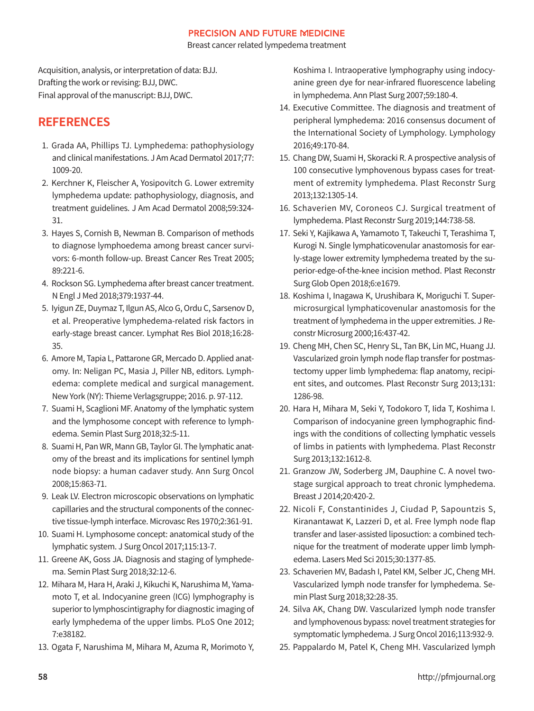Breast cancer related lympedema treatment

Acquisition, analysis, or interpretation of data: BJJ. Drafting the work or revising: BJJ, DWC. Final approval of the manuscript: BJJ, DWC.

# **REFERENCES**

- 1. Grada AA, Phillips TJ. Lymphedema: pathophysiology and clinical manifestations. J Am Acad Dermatol 2017;77: 1009-20.
- 2. Kerchner K, Fleischer A, Yosipovitch G. Lower extremity lymphedema update: pathophysiology, diagnosis, and treatment guidelines. J Am Acad Dermatol 2008;59:324- 31.
- 3. Hayes S, Cornish B, Newman B. Comparison of methods to diagnose lymphoedema among breast cancer survivors: 6-month follow-up. Breast Cancer Res Treat 2005; 89:221-6.
- 4. Rockson SG. Lymphedema after breast cancer treatment. N Engl J Med 2018;379:1937-44.
- 5. Iyigun ZE, Duymaz T, Ilgun AS, Alco G, Ordu C, Sarsenov D, et al. Preoperative lymphedema-related risk factors in early-stage breast cancer. Lymphat Res Biol 2018;16:28- 35.
- 6. Amore M, Tapia L, Pattarone GR, Mercado D. Applied anatomy. In: Neligan PC, Masia J, Piller NB, editors. Lymphedema: complete medical and surgical management. New York (NY): Thieme Verlagsgruppe; 2016. p. 97-112.
- 7. Suami H, Scaglioni MF. Anatomy of the lymphatic system and the lymphosome concept with reference to lymphedema. Semin Plast Surg 2018;32:5-11.
- 8. Suami H, Pan WR, Mann GB, Taylor GI. The lymphatic anatomy of the breast and its implications for sentinel lymph node biopsy: a human cadaver study. Ann Surg Oncol 2008;15:863-71.
- 9. Leak LV. Electron microscopic observations on lymphatic capillaries and the structural components of the connective tissue-lymph interface. Microvasc Res 1970;2:361-91.
- 10. Suami H. Lymphosome concept: anatomical study of the lymphatic system. J Surg Oncol 2017;115:13-7.
- 11. Greene AK, Goss JA. Diagnosis and staging of lymphedema. Semin Plast Surg 2018;32:12-6.
- 12. Mihara M, Hara H, Araki J, Kikuchi K, Narushima M, Yamamoto T, et al. Indocyanine green (ICG) lymphography is superior to lymphoscintigraphy for diagnostic imaging of early lymphedema of the upper limbs. PLoS One 2012; 7:e38182.
- 13. Ogata F, Narushima M, Mihara M, Azuma R, Morimoto Y,

Koshima I. Intraoperative lymphography using indocyanine green dye for near-infrared fluorescence labeling in lymphedema. Ann Plast Surg 2007;59:180-4.

- 14. Executive Committee. The diagnosis and treatment of peripheral lymphedema: 2016 consensus document of the International Society of Lymphology. Lymphology 2016;49:170-84.
- 15. Chang DW, Suami H, Skoracki R. A prospective analysis of 100 consecutive lymphovenous bypass cases for treatment of extremity lymphedema. Plast Reconstr Surg 2013;132:1305-14.
- 16. Schaverien MV, Coroneos CJ. Surgical treatment of lymphedema. Plast Reconstr Surg 2019;144:738-58.
- 17. Seki Y, Kajikawa A, Yamamoto T, Takeuchi T, Terashima T, Kurogi N. Single lymphaticovenular anastomosis for early-stage lower extremity lymphedema treated by the superior-edge-of-the-knee incision method. Plast Reconstr Surg Glob Open 2018;6:e1679.
- 18. Koshima I, Inagawa K, Urushibara K, Moriguchi T. Supermicrosurgical lymphaticovenular anastomosis for the treatment of lymphedema in the upper extremities. J Reconstr Microsurg 2000;16:437-42.
- 19. Cheng MH, Chen SC, Henry SL, Tan BK, Lin MC, Huang JJ. Vascularized groin lymph node flap transfer for postmastectomy upper limb lymphedema: flap anatomy, recipient sites, and outcomes. Plast Reconstr Surg 2013;131: 1286-98.
- 20. Hara H, Mihara M, Seki Y, Todokoro T, Iida T, Koshima I. Comparison of indocyanine green lymphographic findings with the conditions of collecting lymphatic vessels of limbs in patients with lymphedema. Plast Reconstr Surg 2013;132:1612-8.
- 21. Granzow JW, Soderberg JM, Dauphine C. A novel twostage surgical approach to treat chronic lymphedema. Breast J 2014;20:420-2.
- 22. Nicoli F, Constantinides J, Ciudad P, Sapountzis S, Kiranantawat K, Lazzeri D, et al. Free lymph node flap transfer and laser-assisted liposuction: a combined technique for the treatment of moderate upper limb lymphedema. Lasers Med Sci 2015;30:1377-85.
- 23. Schaverien MV, Badash I, Patel KM, Selber JC, Cheng MH. Vascularized lymph node transfer for lymphedema. Semin Plast Surg 2018;32:28-35.
- 24. Silva AK, Chang DW. Vascularized lymph node transfer and lymphovenous bypass: novel treatment strategies for symptomatic lymphedema. J Surg Oncol 2016;113:932-9.
- 25. Pappalardo M, Patel K, Cheng MH. Vascularized lymph